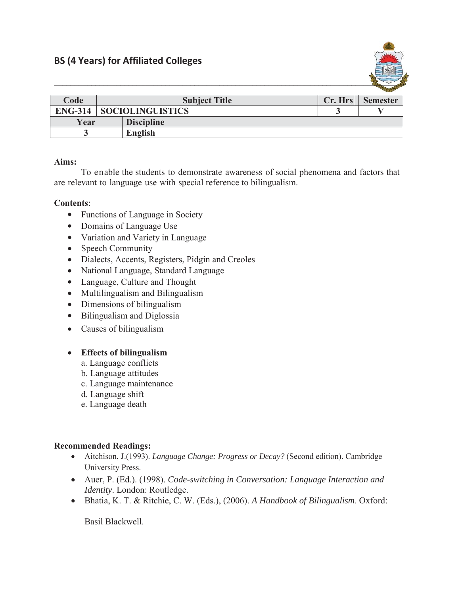

|                |                         |                   |         | $-$             |
|----------------|-------------------------|-------------------|---------|-----------------|
| Code           | <b>Subject Title</b>    |                   | Cr. Hrs | <b>Semester</b> |
| <b>ENG-314</b> | <b>SOCIOLINGUISTICS</b> |                   |         |                 |
| Year           |                         | <b>Discipline</b> |         |                 |
|                |                         | English           |         |                 |

## **Aims:**

To enable the students to demonstrate awareness of social phenomena and factors that are relevant to language use with special reference to bilingualism.

## **Contents**:

- Functions of Language in Society
- Domains of Language Use
- Variation and Variety in Language
- $\bullet$  Speech Community
- Dialects, Accents, Registers, Pidgin and Creoles
- National Language, Standard Language
- Language, Culture and Thought
- Multilingualism and Bilingualism
- $\bullet$  Dimensions of bilingualism
- $\bullet$  Bilingualism and Diglossia
- $\bullet$  Causes of bilingualism

## x **Effects of bilingualism**

- a. Language conflicts
- b. Language attitudes
- c. Language maintenance
- d. Language shift
- e. Language death

## **Recommended Readings:**

- x Aitchison, J.(1993). *Language Change: Progress or Decay?* (Second edition). Cambridge University Press.
- x Auer, P. (Ed.). (1998). *Code-switching in Conversation: Language Interaction and Identity*. London: Routledge.
- x Bhatia, K. T. & Ritchie, C. W. (Eds.), (2006). *A Handbook of Bilingualism*. Oxford:

Basil Blackwell.